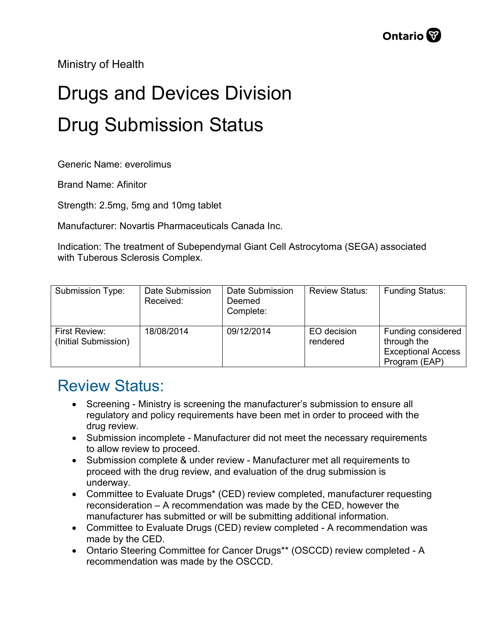Ministry of Health

## Drugs and Devices Division Drug Submission Status

Generic Name: everolimus

Brand Name: Afinitor

Strength: 2.5mg, 5mg and 10mg tablet

Manufacturer: Novartis Pharmaceuticals Canada Inc.

Indication: The treatment of Subependymal Giant Cell Astrocytoma (SEGA) associated with Tuberous Sclerosis Complex.

| Submission Type:                      | Date Submission<br>Received: | Date Submission<br>Deemed<br>Complete: | <b>Review Status:</b>   | <b>Funding Status:</b>                                                          |
|---------------------------------------|------------------------------|----------------------------------------|-------------------------|---------------------------------------------------------------------------------|
| First Review:<br>(Initial Submission) | 18/08/2014                   | 09/12/2014                             | EO decision<br>rendered | Funding considered<br>through the<br><b>Exceptional Access</b><br>Program (EAP) |

## Review Status:

- Screening Ministry is screening the manufacturer's submission to ensure all regulatory and policy requirements have been met in order to proceed with the drug review.
- Submission incomplete Manufacturer did not meet the necessary requirements to allow review to proceed.
- Submission complete & under review Manufacturer met all requirements to proceed with the drug review, and evaluation of the drug submission is underway.
- Committee to Evaluate Drugs\* (CED) review completed, manufacturer requesting reconsideration – A recommendation was made by the CED, however the manufacturer has submitted or will be submitting additional information.
- Committee to Evaluate Drugs (CED) review completed A recommendation was made by the CED.
- Ontario Steering Committee for Cancer Drugs\*\* (OSCCD) review completed A recommendation was made by the OSCCD.